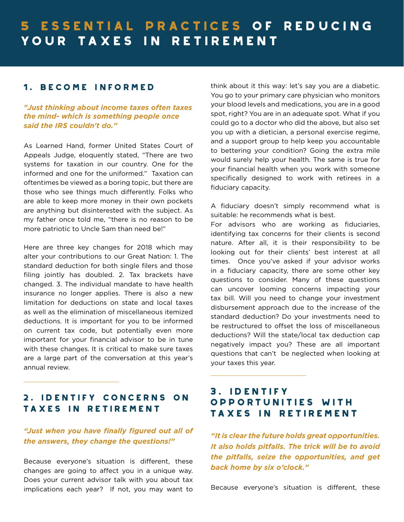# 5 essential practices of reducing your taxes in retirement

# 1. Become informed

*"Just thinking about income taxes often taxes the mind- which is something people once said the IRS couldn't do."*

As Learned Hand, former United States Court of Appeals Judge, eloquently stated, "There are two systems for taxation in our country. One for the informed and one for the uniformed." Taxation can oftentimes be viewed as a boring topic, but there are those who see things much differently. Folks who are able to keep more money in their own pockets are anything but disinterested with the subject. As my father once told me, "there is no reason to be more patriotic to Uncle Sam than need be!"

Here are three key changes for 2018 which may alter your contributions to our Great Nation: 1. The standard deduction for both single filers and those filing jointly has doubled. 2. Tax brackets have changed. 3. The individual mandate to have health insurance no longer applies. There is also a new limitation for deductions on state and local taxes as well as the elimination of miscellaneous itemized deductions. It is important for you to be informed on current tax code, but potentially even more important for your financial advisor to be in tune with these changes. It is critical to make sure taxes are a large part of the conversation at this year's annual review.

## 2. IDENTIFY CONCERNS ON TAXES IN RETIREMENT

### *"Just when you have finally figured out all of the answers, they change the questions!"*

Because everyone's situation is different, these changes are going to affect you in a unique way. Does your current advisor talk with you about tax implications each year? If not, you may want to think about it this way: let's say you are a diabetic. You go to your primary care physician who monitors your blood levels and medications, you are in a good spot, right? You are in an adequate spot. What if you could go to a doctor who did the above, but also set you up with a dietician, a personal exercise regime, and a support group to help keep you accountable to bettering your condition? Going the extra mile would surely help your health. The same is true for your financial health when you work with someone specifically designed to work with retirees in a fiduciary capacity.

A fiduciary doesn't simply recommend what is suitable: he recommends what is best.

For advisors who are working as fiduciaries, identifying tax concerns for their clients is second nature. After all, it is their responsibility to be looking out for their clients' best interest at all times. Once you've asked if your advisor works in a fiduciary capacity, there are some other key questions to consider. Many of these questions can uncover looming concerns impacting your tax bill. Will you need to change your investment disbursement approach due to the increase of the standard deduction? Do your investments need to be restructured to offset the loss of miscellaneous deductions? Will the state/local tax deduction cap negatively impact you? These are all important questions that can't be neglected when looking at your taxes this year.

# 3. IDENTIFY OPPORTUNITIES WITH TAXES IN RETIREMENT

*"It is clear the future holds great opportunities. It also holds pitfalls. The trick will be to avoid the pitfalls, seize the opportunities, and get back home by six o'clock."*

Because everyone's situation is different, these